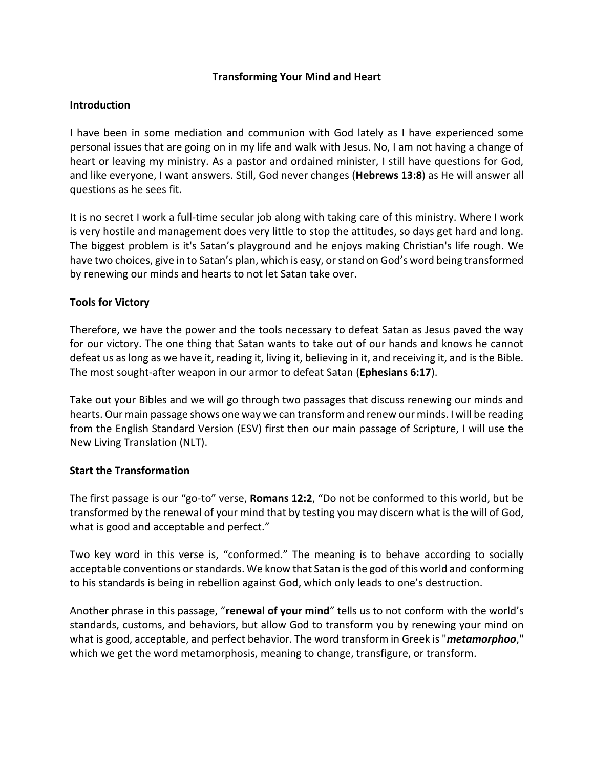### **Transforming Your Mind and Heart**

### **Introduction**

I have been in some mediation and communion with God lately as I have experienced some personal issues that are going on in my life and walk with Jesus. No, I am not having a change of heart or leaving my ministry. As a pastor and ordained minister, I still have questions for God, and like everyone, I want answers. Still, God never changes (**Hebrews 13:8**) as He will answer all questions as he sees fit.

It is no secret I work a full-time secular job along with taking care of this ministry. Where I work is very hostile and management does very little to stop the attitudes, so days get hard and long. The biggest problem is it's Satan's playground and he enjoys making Christian's life rough. We have two choices, give in to Satan's plan, which is easy, or stand on God's word being transformed by renewing our minds and hearts to not let Satan take over.

## **Tools for Victory**

Therefore, we have the power and the tools necessary to defeat Satan as Jesus paved the way for our victory. The one thing that Satan wants to take out of our hands and knows he cannot defeat us as long as we have it, reading it, living it, believing in it, and receiving it, and is the Bible. The most sought-after weapon in our armor to defeat Satan (**Ephesians 6:17**).

Take out your Bibles and we will go through two passages that discuss renewing our minds and hearts. Our main passage shows one way we can transform and renew our minds. I will be reading from the English Standard Version (ESV) first then our main passage of Scripture, I will use the New Living Translation (NLT).

### **Start the Transformation**

The first passage is our "go-to" verse, **Romans 12:2**, "Do not be conformed to this world, but be transformed by the renewal of your mind that by testing you may discern what is the will of God, what is good and acceptable and perfect."

Two key word in this verse is, "conformed." The meaning is to behave according to socially acceptable conventions or standards. We know that Satan is the god of this world and conforming to his standards is being in rebellion against God, which only leads to one's destruction.

Another phrase in this passage, "**renewal of your mind**" tells us to not conform with the world's standards, customs, and behaviors, but allow God to transform you by renewing your mind on what is good, acceptable, and perfect behavior. The word transform in Greek is "*metamorphoo*," which we get the word metamorphosis, meaning to change, transfigure, or transform.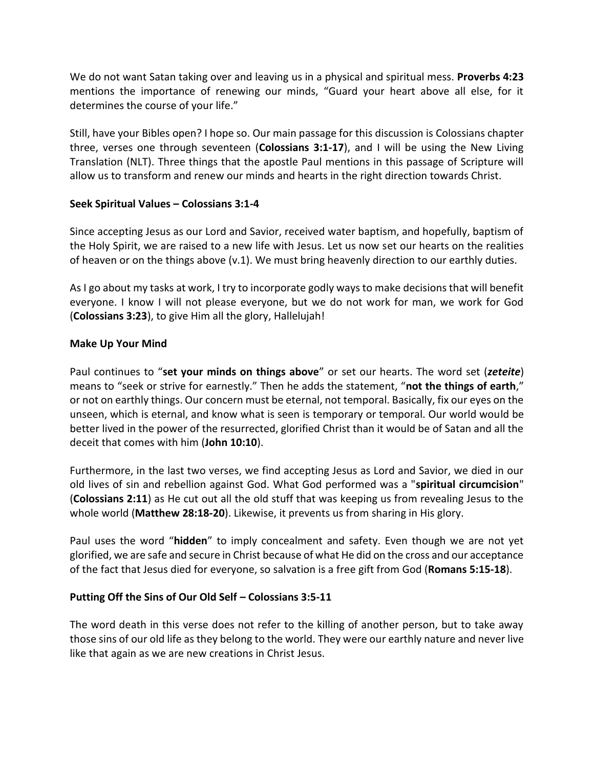We do not want Satan taking over and leaving us in a physical and spiritual mess. **Proverbs 4:23** mentions the importance of renewing our minds, "Guard your heart above all else, for it determines the course of your life."

Still, have your Bibles open? I hope so. Our main passage for this discussion is Colossians chapter three, verses one through seventeen (**Colossians 3:1-17**), and I will be using the New Living Translation (NLT). Three things that the apostle Paul mentions in this passage of Scripture will allow us to transform and renew our minds and hearts in the right direction towards Christ.

## **Seek Spiritual Values – Colossians 3:1-4**

Since accepting Jesus as our Lord and Savior, received water baptism, and hopefully, baptism of the Holy Spirit, we are raised to a new life with Jesus. Let us now set our hearts on the realities of heaven or on the things above (v.1). We must bring heavenly direction to our earthly duties.

As I go about my tasks at work, I try to incorporate godly ways to make decisions that will benefit everyone. I know I will not please everyone, but we do not work for man, we work for God (**Colossians 3:23**), to give Him all the glory, Hallelujah!

## **Make Up Your Mind**

Paul continues to "**set your minds on things above**" or set our hearts. The word set (*zeteite*) means to "seek or strive for earnestly." Then he adds the statement, "**not the things of earth**," or not on earthly things. Our concern must be eternal, not temporal. Basically, fix our eyes on the unseen, which is eternal, and know what is seen is temporary or temporal. Our world would be better lived in the power of the resurrected, glorified Christ than it would be of Satan and all the deceit that comes with him (**John 10:10**).

Furthermore, in the last two verses, we find accepting Jesus as Lord and Savior, we died in our old lives of sin and rebellion against God. What God performed was a "**spiritual circumcision**" (**Colossians 2:11**) as He cut out all the old stuff that was keeping us from revealing Jesus to the whole world (**Matthew 28:18-20**). Likewise, it prevents us from sharing in His glory.

Paul uses the word "**hidden**" to imply concealment and safety. Even though we are not yet glorified, we are safe and secure in Christ because of what He did on the cross and our acceptance of the fact that Jesus died for everyone, so salvation is a free gift from God (**Romans 5:15-18**).

# **Putting Off the Sins of Our Old Self – Colossians 3:5-11**

The word death in this verse does not refer to the killing of another person, but to take away those sins of our old life as they belong to the world. They were our earthly nature and never live like that again as we are new creations in Christ Jesus.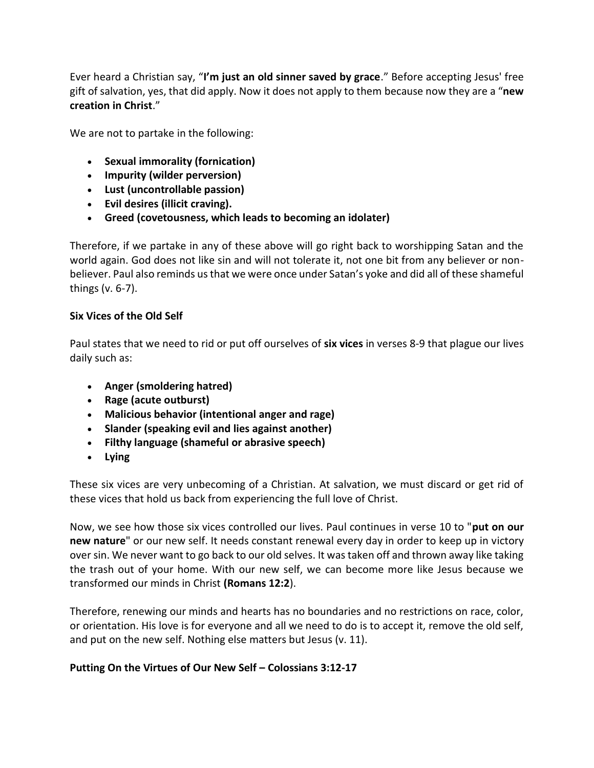Ever heard a Christian say, "**I'm just an old sinner saved by grace**." Before accepting Jesus' free gift of salvation, yes, that did apply. Now it does not apply to them because now they are a "**new creation in Christ**."

We are not to partake in the following:

- **Sexual immorality (fornication)**
- **Impurity (wilder perversion)**
- **Lust (uncontrollable passion)**
- **Evil desires (illicit craving).**
- **Greed (covetousness, which leads to becoming an idolater)**

Therefore, if we partake in any of these above will go right back to worshipping Satan and the world again. God does not like sin and will not tolerate it, not one bit from any believer or nonbeliever. Paul also reminds us that we were once under Satan's yoke and did all of these shameful things (v. 6-7).

# **Six Vices of the Old Self**

Paul states that we need to rid or put off ourselves of **six vices** in verses 8-9 that plague our lives daily such as:

- **Anger (smoldering hatred)**
- **Rage (acute outburst)**
- **Malicious behavior (intentional anger and rage)**
- **Slander (speaking evil and lies against another)**
- **Filthy language (shameful or abrasive speech)**
- **Lying**

These six vices are very unbecoming of a Christian. At salvation, we must discard or get rid of these vices that hold us back from experiencing the full love of Christ.

Now, we see how those six vices controlled our lives. Paul continues in verse 10 to "**put on our new nature**" or our new self. It needs constant renewal every day in order to keep up in victory over sin. We never want to go back to our old selves. It was taken off and thrown away like taking the trash out of your home. With our new self, we can become more like Jesus because we transformed our minds in Christ **(Romans 12:2**).

Therefore, renewing our minds and hearts has no boundaries and no restrictions on race, color, or orientation. His love is for everyone and all we need to do is to accept it, remove the old self, and put on the new self. Nothing else matters but Jesus (v. 11).

# **Putting On the Virtues of Our New Self – Colossians 3:12-17**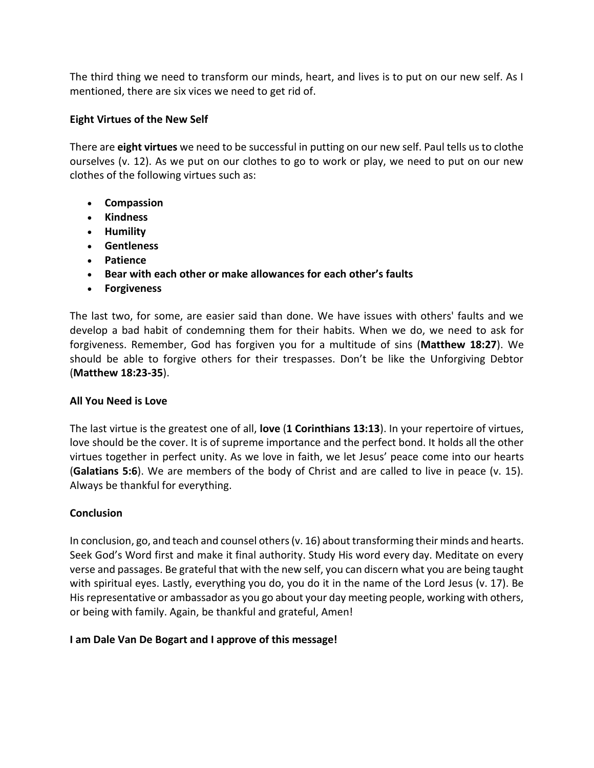The third thing we need to transform our minds, heart, and lives is to put on our new self. As I mentioned, there are six vices we need to get rid of.

## **Eight Virtues of the New Self**

There are **eight virtues** we need to be successful in putting on our new self. Paul tells us to clothe ourselves (v. 12). As we put on our clothes to go to work or play, we need to put on our new clothes of the following virtues such as:

- **Compassion**
- **Kindness**
- **Humility**
- **Gentleness**
- **Patience**
- **Bear with each other or make allowances for each other's faults**
- **Forgiveness**

The last two, for some, are easier said than done. We have issues with others' faults and we develop a bad habit of condemning them for their habits. When we do, we need to ask for forgiveness. Remember, God has forgiven you for a multitude of sins (**Matthew 18:27**). We should be able to forgive others for their trespasses. Don't be like the Unforgiving Debtor (**Matthew 18:23-35**).

### **All You Need is Love**

The last virtue is the greatest one of all, **love** (**1 Corinthians 13:13**). In your repertoire of virtues, love should be the cover. It is of supreme importance and the perfect bond. It holds all the other virtues together in perfect unity. As we love in faith, we let Jesus' peace come into our hearts (**Galatians 5:6**). We are members of the body of Christ and are called to live in peace (v. 15). Always be thankful for everything.

### **Conclusion**

In conclusion, go, and teach and counsel others (v. 16) about transforming their minds and hearts. Seek God's Word first and make it final authority. Study His word every day. Meditate on every verse and passages. Be grateful that with the new self, you can discern what you are being taught with spiritual eyes. Lastly, everything you do, you do it in the name of the Lord Jesus (v. 17). Be His representative or ambassador as you go about your day meeting people, working with others, or being with family. Again, be thankful and grateful, Amen!

# **I am Dale Van De Bogart and I approve of this message!**